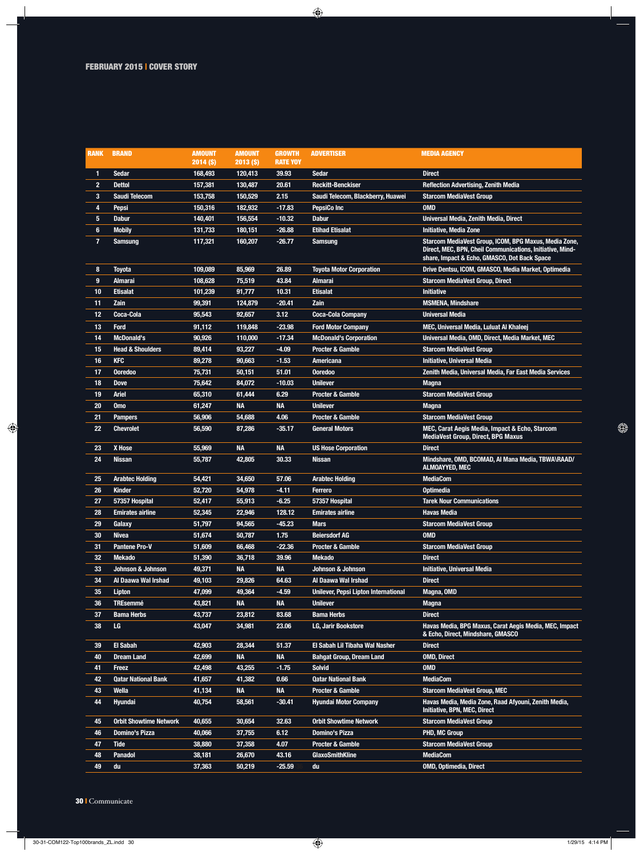$\overline{\phantom{a}}$ 

 $\bigcirc$ 

| <b>RANK</b>             | <b>BRAND</b>                  | <b>AMOUNT</b> | <b>AMOUNT</b> | <b>GROWTH</b>   | <b>ADVERTISER</b>                           | <b>MEDIA AGENCY</b>                                                                                                                                                |
|-------------------------|-------------------------------|---------------|---------------|-----------------|---------------------------------------------|--------------------------------------------------------------------------------------------------------------------------------------------------------------------|
|                         |                               | 2014 (\$)     | $2013($ \$)   | <b>RATE YOY</b> |                                             |                                                                                                                                                                    |
| $\mathbf{1}$            | <b>Sedar</b>                  | 168,493       | 120,413       | 39.93           | <b>Sedar</b>                                | <b>Direct</b>                                                                                                                                                      |
| $\overline{2}$          | <b>Dettol</b>                 | 157,381       | 130,487       | 20.61           | <b>Reckitt-Benckiser</b>                    | <b>Reflection Advertising, Zenith Media</b>                                                                                                                        |
| 3                       | <b>Saudi Telecom</b>          | 153,758       | 150,529       | 2.15            | Saudi Telecom, Blackberry, Huawei           | <b>Starcom MediaVest Group</b>                                                                                                                                     |
| 4                       | Pepsi                         | 150,316       | 182,932       | $-17.83$        | <b>PepsiCo Inc.</b>                         | <b>OMD</b>                                                                                                                                                         |
| 5                       | <b>Dabur</b>                  | 140,401       | 156,554       | $-10.32$        | <b>Dabur</b>                                | Universal Media, Zenith Media, Direct                                                                                                                              |
| 6                       | <b>Mobily</b>                 | 131,733       | 180,151       | $-26.88$        | <b>Etihad Etisalat</b>                      | <b>Initiative, Media Zone</b>                                                                                                                                      |
| $\overline{\mathbf{r}}$ | <b>Samsung</b>                | 117,321       | 160,207       | $-26.77$        | <b>Samsung</b>                              | Starcom MediaVest Group, ICOM, BPG Maxus, Media Zone,<br>Direct, MEC, BPN, Cheil Communications, Initiative, Mind-<br>share, Impact & Echo, GMASCO, Dot Back Space |
| 8                       | Toyota                        | 109,089       | 85,969        | 26.89           | <b>Toyota Motor Corporation</b>             | Drive Dentsu, ICOM, GMASCO, Media Market, Optimedia                                                                                                                |
| 9                       | Almarai                       | 108,628       | 75,519        | 43.84           | Almarai                                     | <b>Starcom MediaVest Group, Direct</b>                                                                                                                             |
| 10                      | <b>Etisalat</b>               | 101,239       | 91,777        | 10.31           | <b>Etisalat</b>                             | <b>Initiative</b>                                                                                                                                                  |
| 11                      | Zain                          | 99,391        | 124,879       | $-20.41$        | Zain                                        | <b>MSMENA, Mindshare</b>                                                                                                                                           |
| 12                      | Coca-Cola                     | 95,543        | 92,657        | 3.12            | <b>Coca-Cola Company</b>                    | <b>Universal Media</b>                                                                                                                                             |
| 13                      | <b>Ford</b>                   | 91,112        | 119,848       | $-23.98$        | <b>Ford Motor Company</b>                   | MEC, Universal Media, Luluat Al Khaleej                                                                                                                            |
| 14                      | <b>McDonald's</b>             | 90,926        | 110,000       | $-17.34$        | <b>McDonald's Corporation</b>               | Universal Media, OMD, Direct, Media Market, MEC                                                                                                                    |
| 15                      | <b>Head &amp; Shoulders</b>   | 89,414        | 93,227        | $-4.09$         | <b>Procter &amp; Gamble</b>                 | <b>Starcom MediaVest Group</b>                                                                                                                                     |
| 16                      | <b>KFC</b>                    | 89,278        | 90,663        | $-1.53$         | <b>Americana</b>                            | <b>Initiative, Universal Media</b>                                                                                                                                 |
| 17                      | <b>Ooredoo</b>                | 75,731        | 50,151        | 51.01           | <b>Ooredoo</b>                              | Zenith Media, Universal Media, Far East Media Services                                                                                                             |
| 18                      | <b>Dove</b>                   | 75,642        | 84,072        | $-10.03$        | <b>Unilever</b>                             | <b>Magna</b>                                                                                                                                                       |
| 19                      | Ariel                         | 65,310        | 61,444        | 6.29            | <b>Procter &amp; Gamble</b>                 | <b>Starcom MediaVest Group</b>                                                                                                                                     |
| 20                      | <b>Omo</b>                    | 61,247        | <b>NA</b>     | <b>NA</b>       | <b>Unilever</b>                             | <b>Magna</b>                                                                                                                                                       |
| 21                      | <b>Pampers</b>                | 56,906        | 54,688        | 4.06            | <b>Procter &amp; Gamble</b>                 | <b>Starcom MediaVest Group</b>                                                                                                                                     |
| 22                      | <b>Chevrolet</b>              | 56,590        | 87,286        | $-35.17$        | <b>General Motors</b>                       | MEC, Carat Aegis Media, Impact & Echo, Starcom<br><b>MediaVest Group, Direct, BPG Maxus</b>                                                                        |
| 23                      | X Hose                        | 55,969        | <b>NA</b>     | <b>NA</b>       | <b>US Hose Corporation</b>                  | <b>Direct</b>                                                                                                                                                      |
| 24                      | <b>Nissan</b>                 | 55,787        | 42,805        | 30.33           | <b>Nissan</b>                               | Mindshare, OMD, BCOMAD, AI Mana Media, TBWA\RAAD/<br>ALMOAYYED, MEC                                                                                                |
| 25                      | <b>Arabtec Holding</b>        | 54,421        | 34,650        | 57.06           | <b>Arabtec Holding</b>                      | <b>MediaCom</b>                                                                                                                                                    |
| 26                      | <b>Kinder</b>                 | 52,720        | 54,978        | $-4.11$         | Ferrero                                     | <b>Optimedia</b>                                                                                                                                                   |
| 27                      | 57357 Hospital                | 52,417        | 55,913        | $-6.25$         | 57357 Hospital                              | <b>Tarek Nour Communications</b>                                                                                                                                   |
| 28                      | <b>Emirates airline</b>       | 52,345        | 22,946        | 128.12          | <b>Emirates airline</b>                     | <b>Havas Media</b>                                                                                                                                                 |
| 29                      | Galaxy                        | 51,797        | 94,565        | $-45.23$        | <b>Mars</b>                                 | <b>Starcom MediaVest Group</b>                                                                                                                                     |
| 30                      | <b>Nivea</b>                  | 51,674        | 50,787        | 1.75            | <b>Beiersdorf AG</b>                        | <u>UMD</u>                                                                                                                                                         |
| 31                      | <b>Pantene Pro-V</b>          | 51,609        | 66,468        | $-22.36$        | <b>Procter &amp; Gamble</b>                 | <b>Starcom MediaVest Group</b>                                                                                                                                     |
| 32                      | <b>Mekado</b>                 | 51,390        | 36,718        | 39.96           | <b>Mekado</b>                               | <b>Direct</b>                                                                                                                                                      |
| 33                      | Johnson & Johnson             | 49,371        | <b>NA</b>     | <b>NA</b>       | <b>Johnson &amp; Johnson</b>                | <b>Initiative, Universal Media</b>                                                                                                                                 |
| 34                      | Al Daawa Wal Irshad           | 49,103        | 29,826        | 64.63           | Al Daawa Wal Irshad                         | <b>Direct</b>                                                                                                                                                      |
| 35                      | Lipton                        | 47,099        | 49,364        | $-4.59$         | <b>Unilever, Pepsi Lipton International</b> | Magna, OMD                                                                                                                                                         |
| 36                      | <b>TREsemmé</b>               | 43,821        | <b>NA</b>     | <b>NA</b>       | <b>Unilever</b>                             | <b>Magna</b>                                                                                                                                                       |
| 37                      | <b>Bama Herbs</b>             | 43,737        | 23,812        | 83.68           | <b>Bama Herbs</b>                           | <b>Direct</b>                                                                                                                                                      |
| 38                      | LG                            | 43,047        | 34,981        | 23.06           | <b>LG, Jarir Bookstore</b>                  | Havas Media, BPG Maxus, Carat Aegis Media, MEC, Impact<br>& Echo, Direct, Mindshare, GMASCO                                                                        |
| 39                      | <b>El Sabah</b>               | 42,903        | 28,344        | 51.37           | El Sabah Lil Tibaha Wal Nasher              | <b>Direct</b>                                                                                                                                                      |
| 40                      | <b>Dream Land</b>             | 42,699        | <b>NA</b>     | <b>NA</b>       | <b>Bahgat Group, Dream Land</b>             | <b>OMD, Direct</b>                                                                                                                                                 |
| 41                      | Freez                         | 42,498        | 43,255        | $-1.75$         | <b>Solvid</b>                               | <b>OMD</b>                                                                                                                                                         |
| 42                      | <b>Qatar National Bank</b>    | 41,657        | 41,382        | 0.66            | <b>Qatar National Bank</b>                  | <b>MediaCom</b>                                                                                                                                                    |
| 43                      | Wella                         | 41,134        | <b>NA</b>     | <b>NA</b>       | Procter & Gamble                            | <b>Starcom MediaVest Group, MEC</b>                                                                                                                                |
| 44                      | Hyundai                       | 40,754        | 58,561        | $-30.41$        | <b>Hyundai Motor Company</b>                | Havas Media, Media Zone, Raad Afyouni, Zenith Media,<br>Initiative, BPN, MEC, Direct                                                                               |
| 45                      | <b>Orbit Showtime Network</b> | 40,655        | 30,654        | 32.63           | <b>Orbit Showtime Network</b>               | <b>Starcom MediaVest Group</b>                                                                                                                                     |
| 46                      | <b>Domino's Pizza</b>         | 40,066        | 37,755        | 6.12            | <b>Domino's Pizza</b>                       | <b>PHD, MC Group</b>                                                                                                                                               |
| 47                      | <b>Tide</b>                   | 38,880        | 37,358        | 4.07            | <b>Procter &amp; Gamble</b>                 | <b>Starcom MediaVest Group</b>                                                                                                                                     |
| 48                      | <b>Panadol</b>                | 38,181        | 26,670        | 43.16           | <b>GlaxoSmithKline</b>                      | <b>MediaCom</b>                                                                                                                                                    |
| 49                      | du                            | 37,363        | 50,219        | $-25.59$        | du                                          | <b>OMD, Optimedia, Direct</b>                                                                                                                                      |

 $\bigoplus$ 

30 I Communicate

 $\bigcirc$